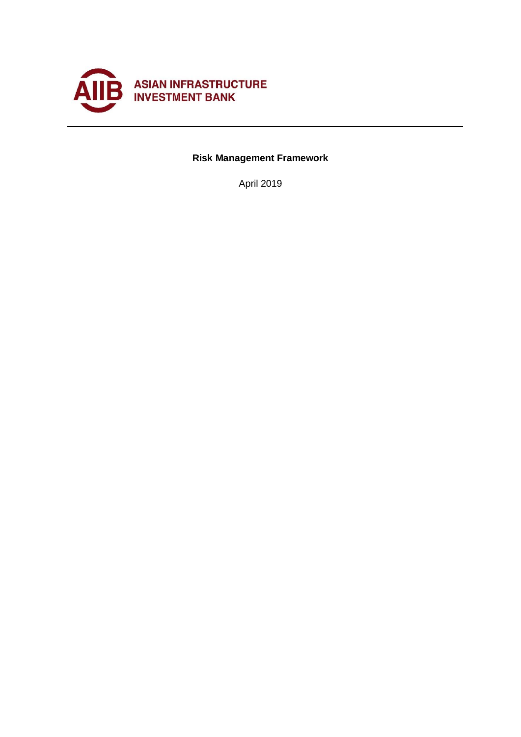

# **Risk Management Framework**

April 2019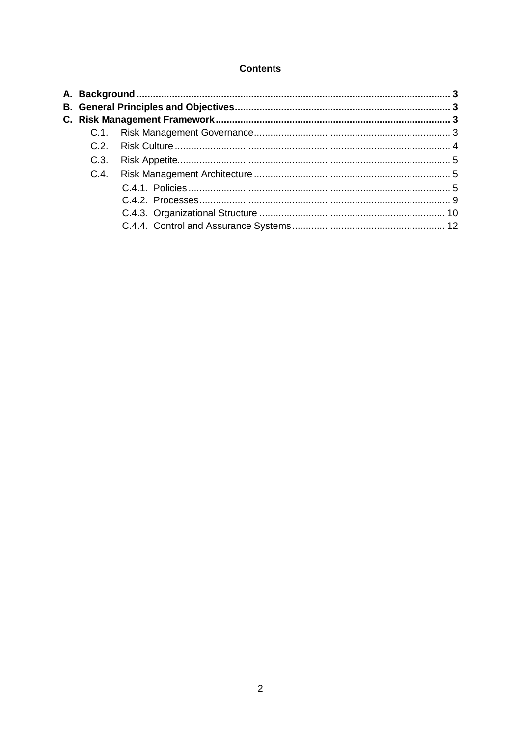#### **Contents**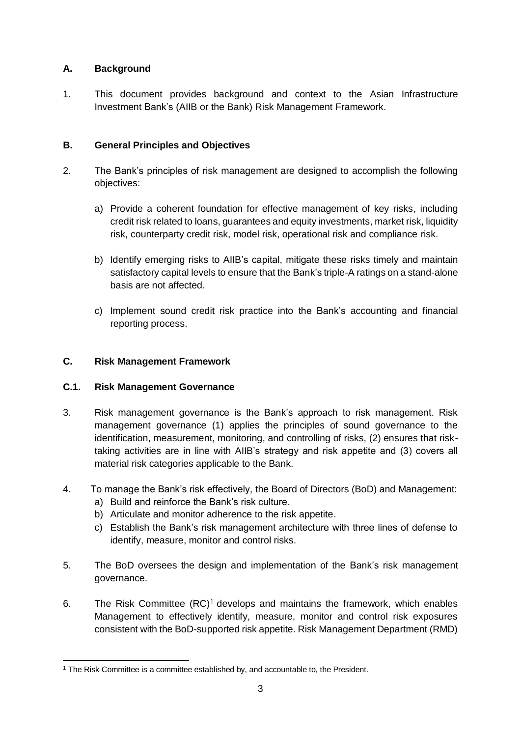## <span id="page-2-0"></span>**A. Background**

1. This document provides background and context to the Asian Infrastructure Investment Bank's (AIIB or the Bank) Risk Management Framework.

## <span id="page-2-1"></span>**B. General Principles and Objectives**

- 2. The Bank's principles of risk management are designed to accomplish the following objectives:
	- a) Provide a coherent foundation for effective management of key risks, including credit risk related to loans, guarantees and equity investments, market risk, liquidity risk, counterparty credit risk, model risk, operational risk and compliance risk.
	- b) Identify emerging risks to AIIB's capital, mitigate these risks timely and maintain satisfactory capital levels to ensure that the Bank's triple-A ratings on a stand-alone basis are not affected.
	- c) Implement sound credit risk practice into the Bank's accounting and financial reporting process.

## <span id="page-2-2"></span>**C. Risk Management Framework**

## <span id="page-2-3"></span>**C.1. Risk Management Governance**

- 3. Risk management governance is the Bank's approach to risk management. Risk management governance (1) applies the principles of sound governance to the identification, measurement, monitoring, and controlling of risks, (2) ensures that risktaking activities are in line with AIIB's strategy and risk appetite and (3) covers all material risk categories applicable to the Bank.
- 4. To manage the Bank's risk effectively, the Board of Directors (BoD) and Management:
	- a) Build and reinforce the Bank's risk culture.
	- b) Articulate and monitor adherence to the risk appetite.
	- c) Establish the Bank's risk management architecture with three lines of defense to identify, measure, monitor and control risks.
- 5. The BoD oversees the design and implementation of the Bank's risk management governance.
- 6. The Risk Committee  $(RC)^1$  develops and maintains the framework, which enables Management to effectively identify, measure, monitor and control risk exposures consistent with the BoD-supported risk appetite. Risk Management Department (RMD)

**<sup>.</sup>** <sup>1</sup> The Risk Committee is a committee established by, and accountable to, the President.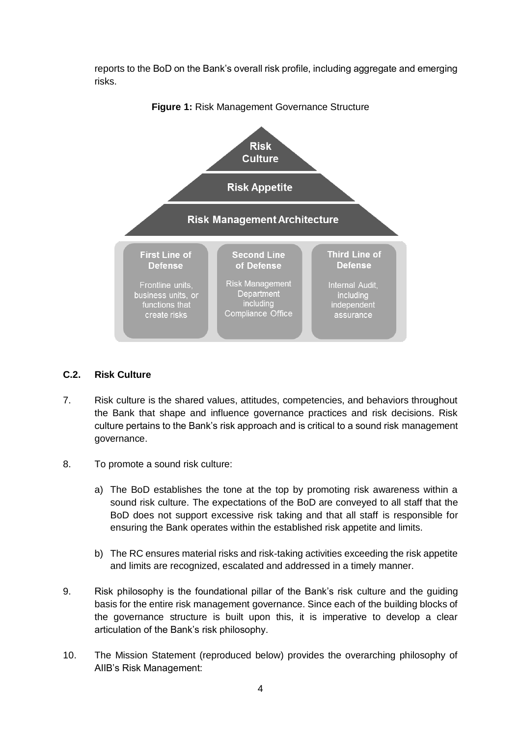reports to the BoD on the Bank's overall risk profile, including aggregate and emerging risks.



**Figure 1:** Risk Management Governance Structure

#### <span id="page-3-0"></span>**C.2. Risk Culture**

- 7. Risk culture is the shared values, attitudes, competencies, and behaviors throughout the Bank that shape and influence governance practices and risk decisions. Risk culture pertains to the Bank's risk approach and is critical to a sound risk management governance.
- 8. To promote a sound risk culture:
	- a) The BoD establishes the tone at the top by promoting risk awareness within a sound risk culture. The expectations of the BoD are conveyed to all staff that the BoD does not support excessive risk taking and that all staff is responsible for ensuring the Bank operates within the established risk appetite and limits.
	- b) The RC ensures material risks and risk-taking activities exceeding the risk appetite and limits are recognized, escalated and addressed in a timely manner.
- 9. Risk philosophy is the foundational pillar of the Bank's risk culture and the guiding basis for the entire risk management governance. Since each of the building blocks of the governance structure is built upon this, it is imperative to develop a clear articulation of the Bank's risk philosophy.
- 10. The Mission Statement (reproduced below) provides the overarching philosophy of AIIB's Risk Management: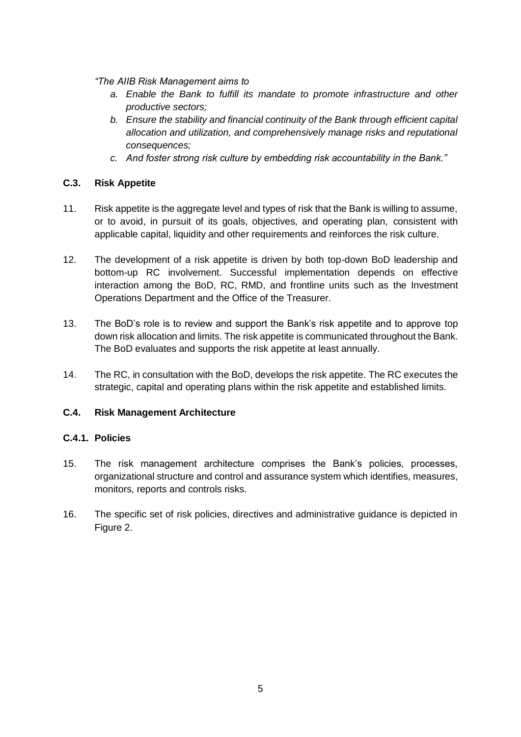*"The AIIB Risk Management aims to* 

- *a. Enable the Bank to fulfill its mandate to promote infrastructure and other productive sectors;*
- *b. Ensure the stability and financial continuity of the Bank through efficient capital allocation and utilization, and comprehensively manage risks and reputational consequences;*
- *c. And foster strong risk culture by embedding risk accountability in the Bank."*

#### <span id="page-4-0"></span>**C.3. Risk Appetite**

- 11. Risk appetite is the aggregate level and types of risk that the Bank is willing to assume, or to avoid, in pursuit of its goals, objectives, and operating plan, consistent with applicable capital, liquidity and other requirements and reinforces the risk culture.
- 12. The development of a risk appetite is driven by both top-down BoD leadership and bottom-up RC involvement. Successful implementation depends on effective interaction among the BoD, RC, RMD, and frontline units such as the Investment Operations Department and the Office of the Treasurer.
- 13. The BoD's role is to review and support the Bank's risk appetite and to approve top down risk allocation and limits. The risk appetite is communicated throughout the Bank. The BoD evaluates and supports the risk appetite at least annually.
- 14. The RC, in consultation with the BoD, develops the risk appetite. The RC executes the strategic, capital and operating plans within the risk appetite and established limits.

## <span id="page-4-1"></span>**C.4. Risk Management Architecture**

#### <span id="page-4-2"></span>**C.4.1. Policies**

- 15. The risk management architecture comprises the Bank's policies, processes, organizational structure and control and assurance system which identifies, measures, monitors, reports and controls risks.
- 16. The specific set of risk policies, directives and administrative guidance is depicted in Figure 2.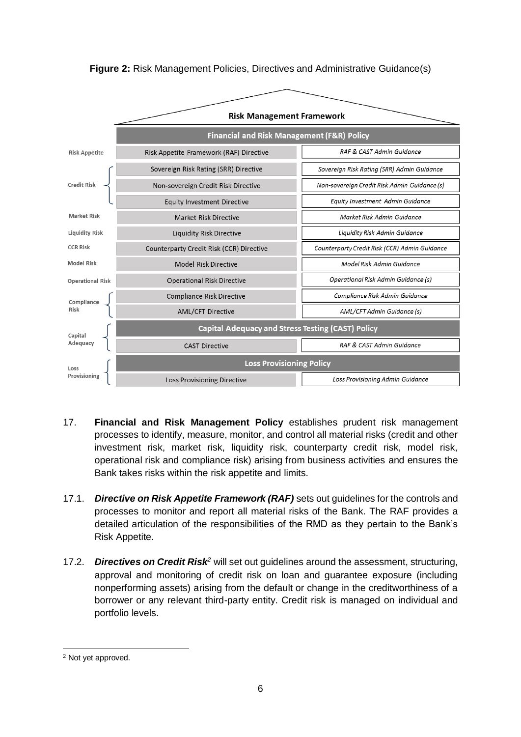

**Figure 2:** Risk Management Policies, Directives and Administrative Guidance(s)

- 17. **Financial and Risk Management Policy** establishes prudent risk management processes to identify, measure, monitor, and control all material risks (credit and other investment risk, market risk, liquidity risk, counterparty credit risk, model risk, operational risk and compliance risk) arising from business activities and ensures the Bank takes risks within the risk appetite and limits.
- 17.1. *Directive on Risk Appetite Framework (RAF)* sets out guidelines for the controls and processes to monitor and report all material risks of the Bank. The RAF provides a detailed articulation of the responsibilities of the RMD as they pertain to the Bank's Risk Appetite.
- 17.2. *Directives on Credit Risk<sup>2</sup>* will set out guidelines around the assessment, structuring, approval and monitoring of credit risk on loan and guarantee exposure (including nonperforming assets) arising from the default or change in the creditworthiness of a borrower or any relevant third-party entity. Credit risk is managed on individual and portfolio levels.

**<sup>.</sup>** <sup>2</sup> Not yet approved.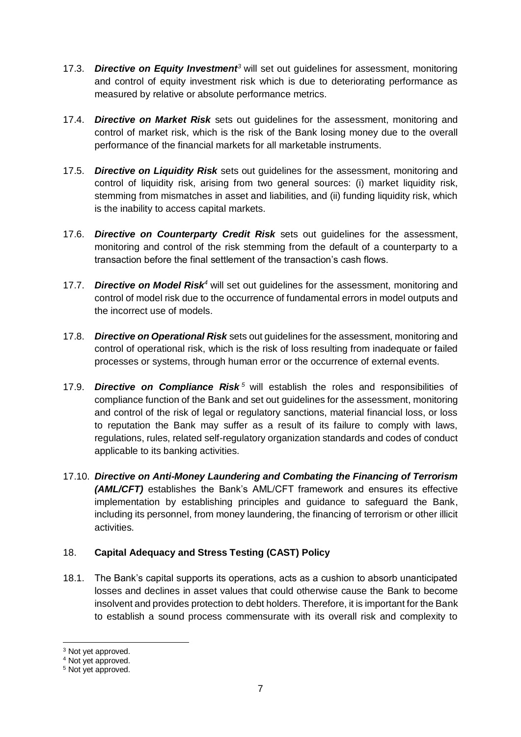- 17.3. *Directive on Equity Investment<sup>3</sup>* will set out guidelines for assessment, monitoring and control of equity investment risk which is due to deteriorating performance as measured by relative or absolute performance metrics.
- 17.4. *Directive on Market Risk* sets out guidelines for the assessment, monitoring and control of market risk, which is the risk of the Bank losing money due to the overall performance of the financial markets for all marketable instruments.
- 17.5. *Directive on Liquidity Risk* sets out guidelines for the assessment, monitoring and control of liquidity risk, arising from two general sources: (i) market liquidity risk, stemming from mismatches in asset and liabilities, and (ii) funding liquidity risk, which is the inability to access capital markets.
- 17.6. *Directive on Counterparty Credit Risk* sets out guidelines for the assessment, monitoring and control of the risk stemming from the default of a counterparty to a transaction before the final settlement of the transaction's cash flows.
- 17.7. *Directive on Model Risk<sup>4</sup>* will set out guidelines for the assessment, monitoring and control of model risk due to the occurrence of fundamental errors in model outputs and the incorrect use of models.
- 17.8. *Directive on Operational Risk* sets out guidelines for the assessment, monitoring and control of operational risk, which is the risk of loss resulting from inadequate or failed processes or systems, through human error or the occurrence of external events.
- 17.9. **Directive on Compliance Risk**<sup>5</sup> will establish the roles and responsibilities of compliance function of the Bank and set out guidelines for the assessment, monitoring and control of the risk of legal or regulatory sanctions, material financial loss, or loss to reputation the Bank may suffer as a result of its failure to comply with laws, regulations, rules, related self-regulatory organization standards and codes of conduct applicable to its banking activities.
- 17.10. *Directive on Anti-Money Laundering and Combating the Financing of Terrorism (AML/CFT)* establishes the Bank's AML/CFT framework and ensures its effective implementation by establishing principles and guidance to safeguard the Bank, including its personnel, from money laundering, the financing of terrorism or other illicit activities.

## 18. **Capital Adequacy and Stress Testing (CAST) Policy**

18.1. The Bank's capital supports its operations, acts as a cushion to absorb unanticipated losses and declines in asset values that could otherwise cause the Bank to become insolvent and provides protection to debt holders. Therefore, it is important for the Bank to establish a sound process commensurate with its overall risk and complexity to

**.** 

<sup>&</sup>lt;sup>3</sup> Not yet approved.

<sup>4</sup> Not yet approved.

<sup>5</sup> Not yet approved.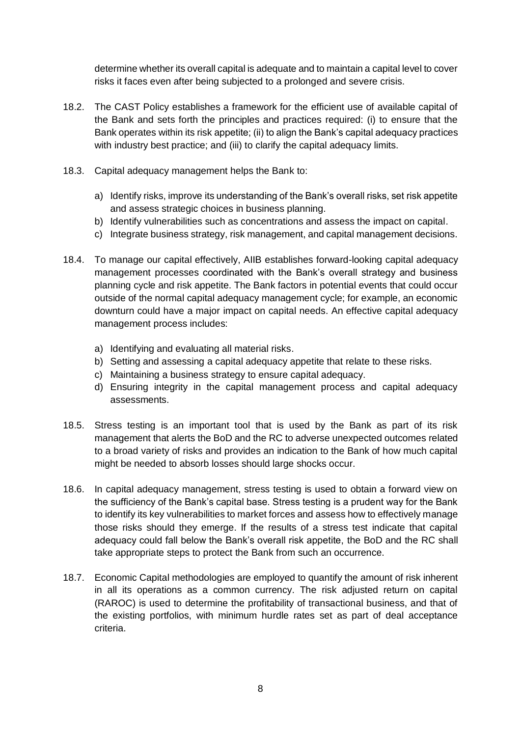determine whether its overall capital is adequate and to maintain a capital level to cover risks it faces even after being subjected to a prolonged and severe crisis.

- 18.2. The CAST Policy establishes a framework for the efficient use of available capital of the Bank and sets forth the principles and practices required: (i) to ensure that the Bank operates within its risk appetite; (ii) to align the Bank's capital adequacy practices with industry best practice; and (iii) to clarify the capital adequacy limits.
- 18.3. Capital adequacy management helps the Bank to:
	- a) Identify risks, improve its understanding of the Bank's overall risks, set risk appetite and assess strategic choices in business planning.
	- b) Identify vulnerabilities such as concentrations and assess the impact on capital.
	- c) Integrate business strategy, risk management, and capital management decisions.
- 18.4. To manage our capital effectively, AIIB establishes forward-looking capital adequacy management processes coordinated with the Bank's overall strategy and business planning cycle and risk appetite. The Bank factors in potential events that could occur outside of the normal capital adequacy management cycle; for example, an economic downturn could have a major impact on capital needs. An effective capital adequacy management process includes:
	- a) Identifying and evaluating all material risks.
	- b) Setting and assessing a capital adequacy appetite that relate to these risks.
	- c) Maintaining a business strategy to ensure capital adequacy.
	- d) Ensuring integrity in the capital management process and capital adequacy assessments.
- 18.5. Stress testing is an important tool that is used by the Bank as part of its risk management that alerts the BoD and the RC to adverse unexpected outcomes related to a broad variety of risks and provides an indication to the Bank of how much capital might be needed to absorb losses should large shocks occur.
- 18.6. In capital adequacy management, stress testing is used to obtain a forward view on the sufficiency of the Bank's capital base. Stress testing is a prudent way for the Bank to identify its key vulnerabilities to market forces and assess how to effectively manage those risks should they emerge. If the results of a stress test indicate that capital adequacy could fall below the Bank's overall risk appetite, the BoD and the RC shall take appropriate steps to protect the Bank from such an occurrence.
- 18.7. Economic Capital methodologies are employed to quantify the amount of risk inherent in all its operations as a common currency. The risk adjusted return on capital (RAROC) is used to determine the profitability of transactional business, and that of the existing portfolios, with minimum hurdle rates set as part of deal acceptance criteria.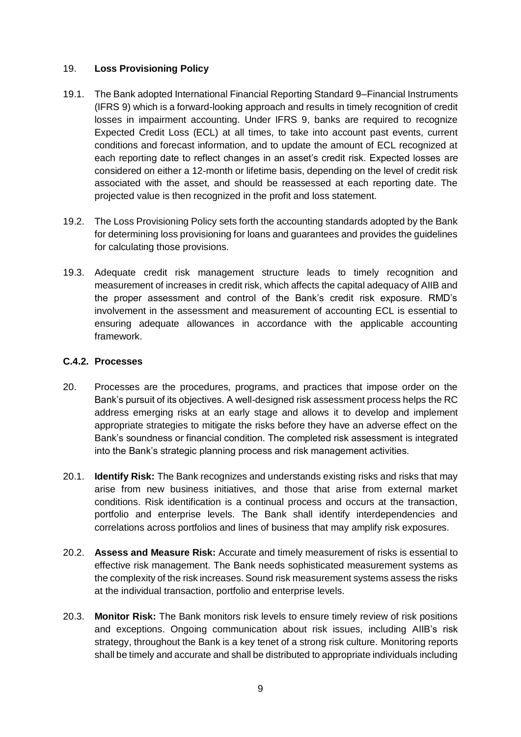#### 19. **Loss Provisioning Policy**

- 19.1. The Bank adopted International Financial Reporting Standard 9–Financial Instruments (IFRS 9) which is a forward-looking approach and results in timely recognition of credit losses in impairment accounting. Under IFRS 9, banks are required to recognize Expected Credit Loss (ECL) at all times, to take into account past events, current conditions and forecast information, and to update the amount of ECL recognized at each reporting date to reflect changes in an asset's credit risk. Expected losses are considered on either a 12-month or lifetime basis, depending on the level of credit risk associated with the asset, and should be reassessed at each reporting date. The projected value is then recognized in the profit and loss statement.
- 19.2. The Loss Provisioning Policy sets forth the accounting standards adopted by the Bank for determining loss provisioning for loans and guarantees and provides the guidelines for calculating those provisions.
- 19.3. Adequate credit risk management structure leads to timely recognition and measurement of increases in credit risk, which affects the capital adequacy of AIIB and the proper assessment and control of the Bank's credit risk exposure. RMD's involvement in the assessment and measurement of accounting ECL is essential to ensuring adequate allowances in accordance with the applicable accounting framework.

#### <span id="page-8-0"></span>**C.4.2. Processes**

- 20. Processes are the procedures, programs, and practices that impose order on the Bank's pursuit of its objectives. A well-designed risk assessment process helps the RC address emerging risks at an early stage and allows it to develop and implement appropriate strategies to mitigate the risks before they have an adverse effect on the Bank's soundness or financial condition. The completed risk assessment is integrated into the Bank's strategic planning process and risk management activities.
- 20.1. **Identify Risk:** The Bank recognizes and understands existing risks and risks that may arise from new business initiatives, and those that arise from external market conditions. Risk identification is a continual process and occurs at the transaction, portfolio and enterprise levels. The Bank shall identify interdependencies and correlations across portfolios and lines of business that may amplify risk exposures.
- 20.2. **Assess and Measure Risk:** Accurate and timely measurement of risks is essential to effective risk management. The Bank needs sophisticated measurement systems as the complexity of the risk increases. Sound risk measurement systems assess the risks at the individual transaction, portfolio and enterprise levels.
- 20.3. **Monitor Risk:** The Bank monitors risk levels to ensure timely review of risk positions and exceptions. Ongoing communication about risk issues, including AIIB's risk strategy, throughout the Bank is a key tenet of a strong risk culture. Monitoring reports shall be timely and accurate and shall be distributed to appropriate individuals including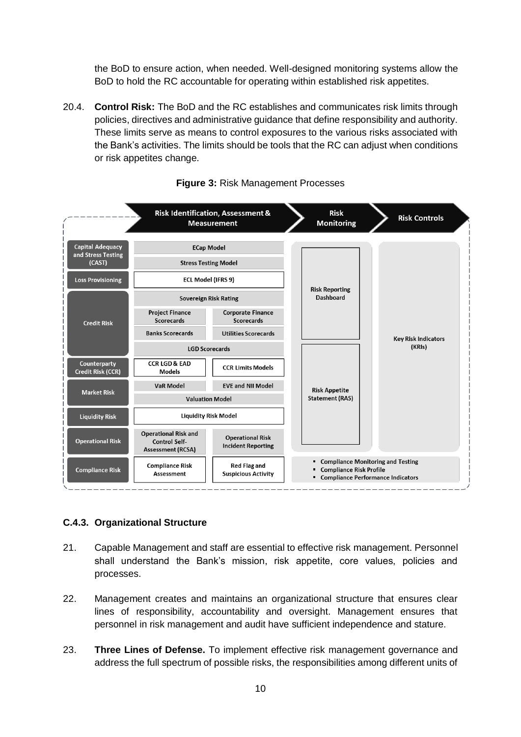the BoD to ensure action, when needed. Well-designed monitoring systems allow the BoD to hold the RC accountable for operating within established risk appetites.

20.4. **Control Risk:** The BoD and the RC establishes and communicates risk limits through policies, directives and administrative guidance that define responsibility and authority. These limits serve as means to control exposures to the various risks associated with the Bank's activities. The limits should be tools that the RC can adjust when conditions or risk appetites change.



#### **Figure 3:** Risk Management Processes

## <span id="page-9-0"></span>**C.4.3. Organizational Structure**

- 21. Capable Management and staff are essential to effective risk management. Personnel shall understand the Bank's mission, risk appetite, core values, policies and processes.
- 22. Management creates and maintains an organizational structure that ensures clear lines of responsibility, accountability and oversight. Management ensures that personnel in risk management and audit have sufficient independence and stature.
- 23. **Three Lines of Defense.** To implement effective risk management governance and address the full spectrum of possible risks, the responsibilities among different units of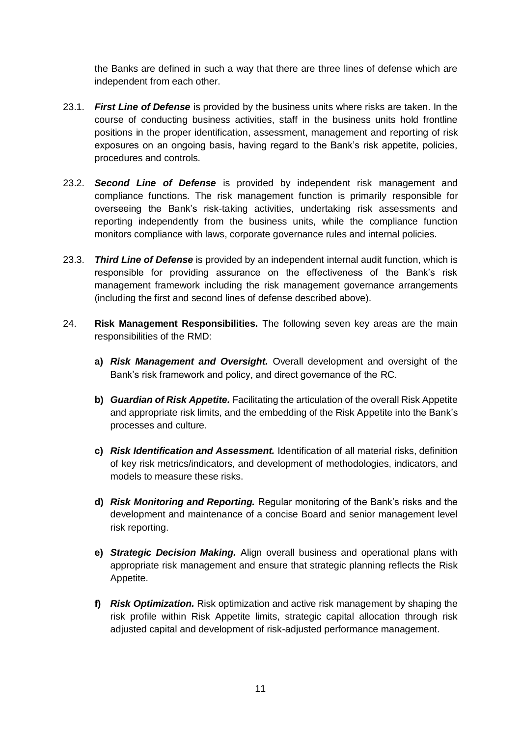the Banks are defined in such a way that there are three lines of defense which are independent from each other.

- 23.1. *First Line of Defense* is provided by the business units where risks are taken. In the course of conducting business activities, staff in the business units hold frontline positions in the proper identification, assessment, management and reporting of risk exposures on an ongoing basis, having regard to the Bank's risk appetite, policies, procedures and controls.
- 23.2. *Second Line of Defense* is provided by independent risk management and compliance functions. The risk management function is primarily responsible for overseeing the Bank's risk-taking activities, undertaking risk assessments and reporting independently from the business units, while the compliance function monitors compliance with laws, corporate governance rules and internal policies.
- 23.3. *Third Line of Defense* is provided by an independent internal audit function, which is responsible for providing assurance on the effectiveness of the Bank's risk management framework including the risk management governance arrangements (including the first and second lines of defense described above).
- 24. **Risk Management Responsibilities.** The following seven key areas are the main responsibilities of the RMD:
	- **a)** *Risk Management and Oversight.* Overall development and oversight of the Bank's risk framework and policy, and direct governance of the RC.
	- **b)** *Guardian of Risk Appetite.* Facilitating the articulation of the overall Risk Appetite and appropriate risk limits, and the embedding of the Risk Appetite into the Bank's processes and culture.
	- **c)** *Risk Identification and Assessment.* Identification of all material risks, definition of key risk metrics/indicators, and development of methodologies, indicators, and models to measure these risks.
	- **d)** *Risk Monitoring and Reporting.* Regular monitoring of the Bank's risks and the development and maintenance of a concise Board and senior management level risk reporting.
	- **e)** *Strategic Decision Making.* Align overall business and operational plans with appropriate risk management and ensure that strategic planning reflects the Risk Appetite.
	- **f)** *Risk Optimization.* Risk optimization and active risk management by shaping the risk profile within Risk Appetite limits, strategic capital allocation through risk adjusted capital and development of risk-adjusted performance management.